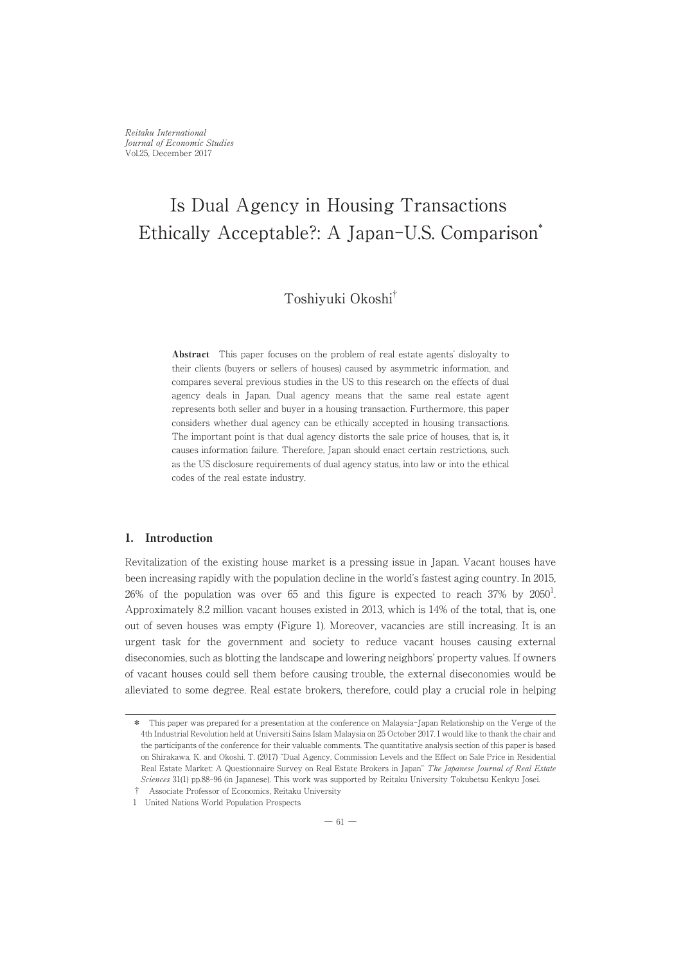Reitaku International Journal of Economic Studies Vol.25, December 2017

# Is Dual Agency in Housing Transactions Ethically Acceptable?: A Japan-U.S. Comparison\*

## Toshiyuki Okoshi†

Abstract This paper focuses on the problem of real estate agents' disloyalty to their clients (buyers or sellers of houses) caused by asymmetric information, and compares several previous studies in the US to this research on the effects of dual agency deals in Japan. Dual agency means that the same real estate agent represents both seller and buyer in a housing transaction. Furthermore, this paper considers whether dual agency can be ethically accepted in housing transactions. The important point is that dual agency distorts the sale price of houses, that is, it causes information failure. Therefore, Japan should enact certain restrictions, such as the US disclosure requirements of dual agency status, into law or into the ethical codes of the real estate industry.

## 1. Introduction

Revitalization of the existing house market is a pressing issue in Japan. Vacant houses have been increasing rapidly with the population decline in the world's fastest aging country. In 2015,  $26\%$  of the population was over 65 and this figure is expected to reach 37% by  $2050<sup>1</sup>$ . . Approximately 8.2 million vacant houses existed in 2013, which is 14% of the total, that is, one out of seven houses was empty (Figure 1). Moreover, vacancies are still increasing. It is an urgent task for the government and society to reduce vacant houses causing external diseconomies, such as blotting the landscape and lowering neighbors' property values. If owners of vacant houses could sell them before causing trouble, the external diseconomies would be alleviated to some degree. Real estate brokers, therefore, could play a crucial role in helping

<sup>\*</sup> This paper was prepared for a presentation at the conference on Malaysia-Japan Relationship on the Verge of the 4th Industrial Revolution held at Universiti Sains Islam Malaysia on 25 October 2017. I would like to thank the chair and the participants of the conference for their valuable comments. The quantitative analysis section of this paper is based on Shirakawa, K. and Okoshi, T. (2017) "Dual Agency, Commission Levels and the Effect on Sale Price in Residential Real Estate Market: A Questionnaire Survey on Real Estate Brokers in Japan" The Japanese Journal of Real Estate Sciences 31(1) pp.88-96 (in Japanese). This work was supported by Reitaku University Tokubetsu Kenkyu Josei.

<sup>†</sup> Associate Professor of Economics, Reitaku University

<sup>1</sup> United Nations World Population Prospects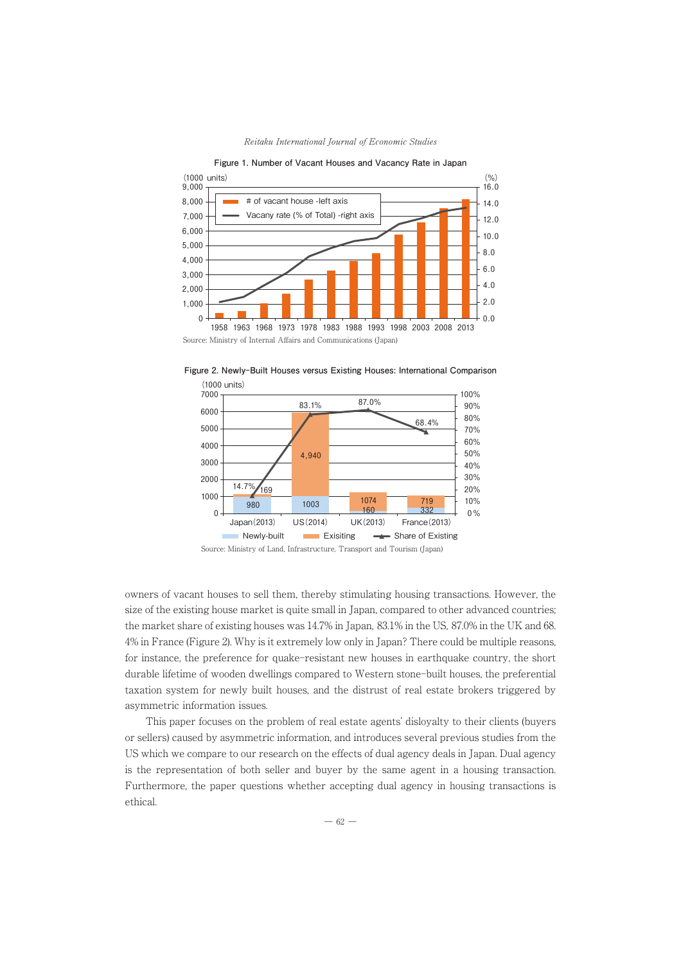



Source: Ministry of Internal Affairs and Communications (Japan)





owners of vacant houses to sell them, thereby stimulating housing transactions. However, the size of the existing house market is quite small in Japan, compared to other advanced countries; the market share of existing houses was 14.7% in Japan, 83.1% in the US, 87.0% in the UK and 68. 4% in France (Figure 2). Why is it extremely low only in Japan? There could be multiple reasons, for instance, the preference for quake-resistant new houses in earthquake country, the short durable lifetime of wooden dwellings compared to Western stone-built houses, the preferential taxation system for newly built houses, and the distrust of real estate brokers triggered by asymmetric information issues.

This paper focuses on the problem of real estate agents' disloyalty to their clients (buyers or sellers) caused by asymmetric information, and introduces several previous studies from the US which we compare to our research on the effects of dual agency deals in Japan. Dual agency is the representation of both seller and buyer by the same agent in a housing transaction. Furthermore, the paper questions whether accepting dual agency in housing transactions is ethical.

 $-62-$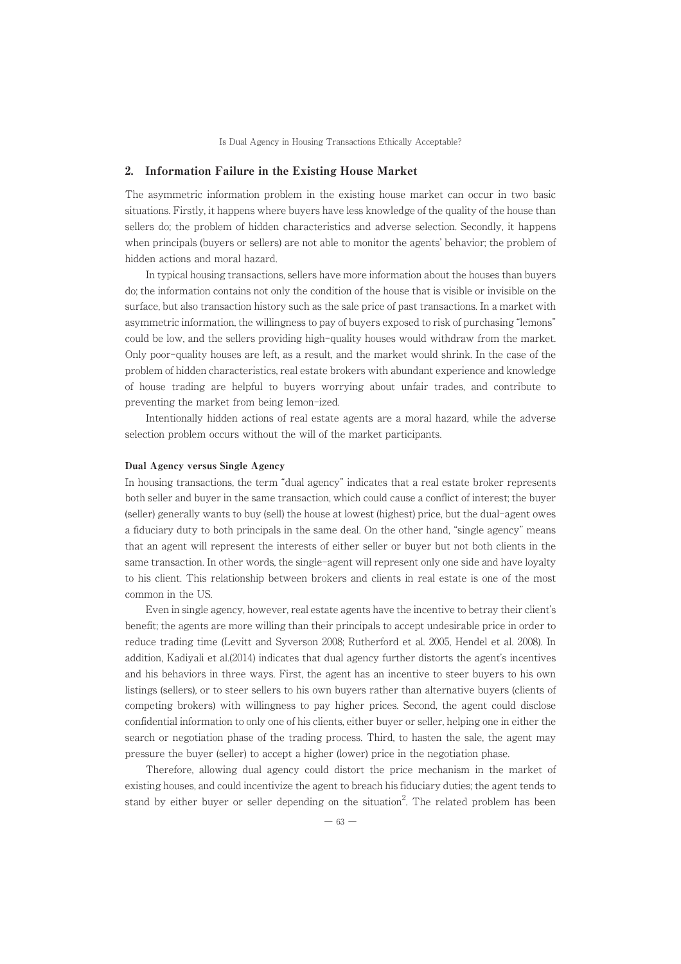Is Dual Agency in Housing Transactions Ethically Acceptable?

## 2. Information Failure in the Existing House Market

The asymmetric information problem in the existing house market can occur in two basic situations. Firstly, it happens where buyers have less knowledge of the quality of the house than sellers do; the problem of hidden characteristics and adverse selection. Secondly, it happens when principals (buyers or sellers) are not able to monitor the agents' behavior; the problem of hidden actions and moral hazard.

In typical housing transactions, sellers have more information about the houses than buyers do; the information contains not only the condition of the house that is visible or invisible on the surface, but also transaction history such as the sale price of past transactions. In a market with asymmetric information, the willingness to pay of buyers exposed to risk of purchasing "lemons" could be low, and the sellers providing high-quality houses would withdraw from the market. Only poor-quality houses are left, as a result, and the market would shrink. In the case of the problem of hidden characteristics, real estate brokers with abundant experience and knowledge of house trading are helpful to buyers worrying about unfair trades, and contribute to preventing the market from being lemon-ized.

Intentionally hidden actions of real estate agents are a moral hazard, while the adverse selection problem occurs without the will of the market participants.

### Dual Agency versus Single Agency

In housing transactions, the term "dual agency" indicates that a real estate broker represents both seller and buyer in the same transaction, which could cause a conflict of interest; the buyer (seller) generally wants to buy (sell) the house at lowest (highest) price, but the dual-agent owes a fiduciary duty to both principals in the same deal. On the other hand, "single agency" means that an agent will represent the interests of either seller or buyer but not both clients in the same transaction. In other words, the single-agent will represent only one side and have loyalty to his client. This relationship between brokers and clients in real estate is one of the most common in the US.

Even in single agency, however, real estate agents have the incentive to betray their client's benefit; the agents are more willing than their principals to accept undesirable price in order to reduce trading time (Levitt and Syverson 2008; Rutherford et al. 2005, Hendel et al. 2008). In addition, Kadiyali et al.(2014) indicates that dual agency further distorts the agent's incentives and his behaviors in three ways. First, the agent has an incentive to steer buyers to his own listings (sellers), or to steer sellers to his own buyers rather than alternative buyers (clients of competing brokers) with willingness to pay higher prices. Second, the agent could disclose confidential information to only one of his clients, either buyer or seller, helping one in either the search or negotiation phase of the trading process. Third, to hasten the sale, the agent may pressure the buyer (seller) to accept a higher (lower) price in the negotiation phase.

Therefore, allowing dual agency could distort the price mechanism in the market of existing houses, and could incentivize the agent to breach his fiduciary duties; the agent tends to stand by either buyer or seller depending on the situation<sup>2</sup>. The related problem has been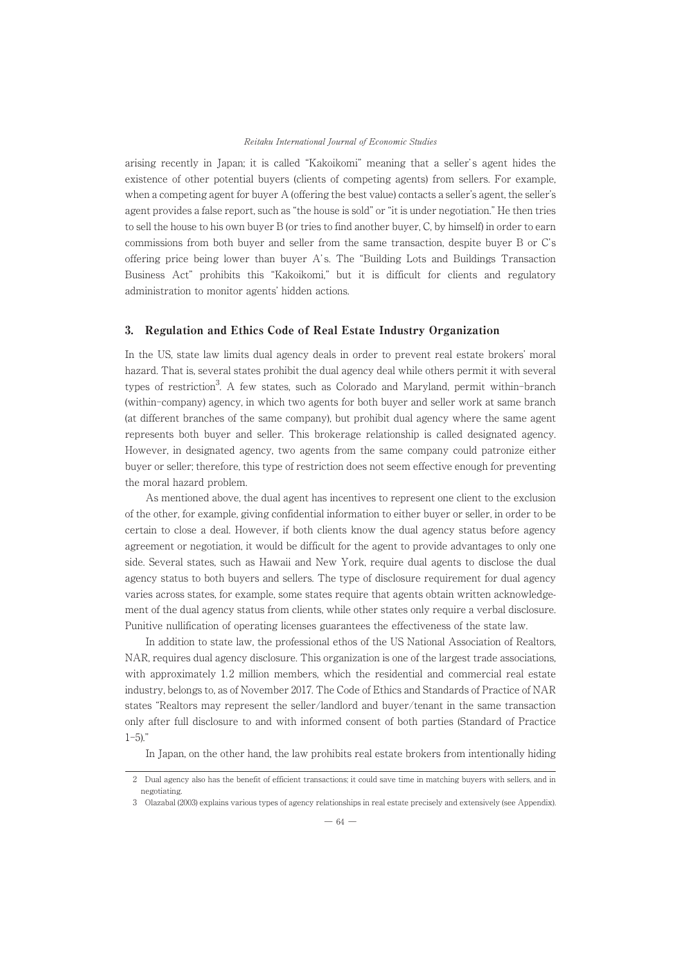## Reitaku International Journal of Economic Studies

arising recently in Japan; it is called "Kakoikomi" meaning that a seller' s agent hides the existence of other potential buyers (clients of competing agents) from sellers. For example, when a competing agent for buyer A (offering the best value) contacts a seller's agent, the seller's agent provides a false report, such as "the house is sold" or "it is under negotiation." He then tries to sell the house to his own buyer B (or tries to find another buyer, C, by himself) in order to earn commissions from both buyer and seller from the same transaction, despite buyer B or C's offering price being lower than buyer A' s. The "Building Lots and Buildings Transaction Business Act" prohibits this "Kakoikomi," but it is difficult for clients and regulatory administration to monitor agents' hidden actions.

## 3. Regulation and Ethics Code of Real Estate Industry Organization

In the US, state law limits dual agency deals in order to prevent real estate brokers' moral hazard. That is, several states prohibit the dual agency deal while others permit it with several types of restriction<sup>3</sup>. A few states, such as Colorado and Maryland, permit within-branch (within-company) agency, in which two agents for both buyer and seller work at same branch (at different branches of the same company), but prohibit dual agency where the same agent represents both buyer and seller. This brokerage relationship is called designated agency. However, in designated agency, two agents from the same company could patronize either buyer or seller; therefore, this type of restriction does not seem effective enough for preventing the moral hazard problem.

As mentioned above, the dual agent has incentives to represent one client to the exclusion of the other, for example, giving confidential information to either buyer or seller, in order to be certain to close a deal. However, if both clients know the dual agency status before agency agreement or negotiation, it would be difficult for the agent to provide advantages to only one side. Several states, such as Hawaii and New York, require dual agents to disclose the dual agency status to both buyers and sellers. The type of disclosure requirement for dual agency varies across states, for example, some states require that agents obtain written acknowledgement of the dual agency status from clients, while other states only require a verbal disclosure. Punitive nullification of operating licenses guarantees the effectiveness of the state law.

In addition to state law, the professional ethos of the US National Association of Realtors, NAR, requires dual agency disclosure. This organization is one of the largest trade associations, with approximately 1.2 million members, which the residential and commercial real estate industry, belongs to, as of November 2017. The Code of Ethics and Standards of Practice of NAR states "Realtors may represent the seller/landlord and buyer/tenant in the same transaction only after full disclosure to and with informed consent of both parties (Standard of Practice  $1-5$ )."

In Japan, on the other hand, the law prohibits real estate brokers from intentionally hiding

<sup>2</sup> Dual agency also has the benefit of efficient transactions; it could save time in matching buyers with sellers, and in negotiating.

<sup>3</sup> Olazabal (2003) explains various types of agency relationships in real estate precisely and extensively (see Appendix).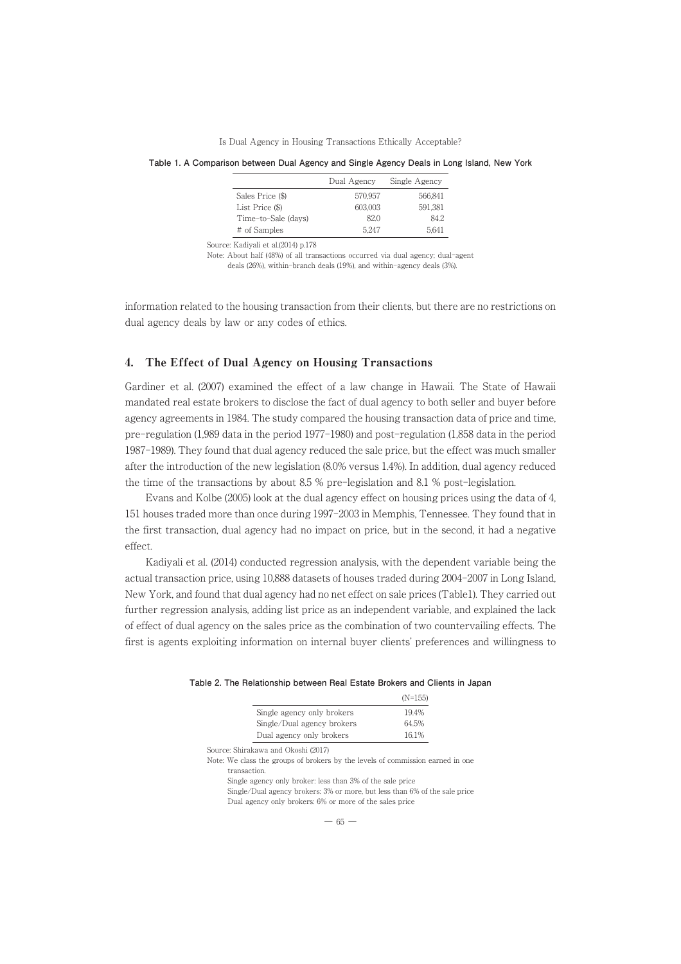Is Dual Agency in Housing Transactions Ethically Acceptable?

**Table 1. A Comparison between Dual Agency and Single Agency Deals in Long Island, New York**

|                     | Dual Agency | Single Agency |
|---------------------|-------------|---------------|
| Sales Price (\$)    | 570.957     | 566.841       |
| List Price (\$)     | 603.003     | 591,381       |
| Time-to-Sale (days) | 82.0        | 842           |
| # of Samples        | 5 247       | 5.641         |

Source: Kadiyali et al.(2014) p.178

Note: About half (48%) of all transactions occurred via dual agency; dual-agent deals (26%), within-branch deals (19%), and within-agency deals (3%).

information related to the housing transaction from their clients, but there are no restrictions on dual agency deals by law or any codes of ethics.

## 4. The Effect of Dual Agency on Housing Transactions

Gardiner et al. (2007) examined the effect of a law change in Hawaii. The State of Hawaii mandated real estate brokers to disclose the fact of dual agency to both seller and buyer before agency agreements in 1984. The study compared the housing transaction data of price and time, pre-regulation (1,989 data in the period 1977-1980) and post-regulation (1,858 data in the period 1987-1989). They found that dual agency reduced the sale price, but the effect was much smaller after the introduction of the new legislation (8.0% versus 1.4%). In addition, dual agency reduced the time of the transactions by about 8.5 % pre-legislation and 8.1 % post-legislation.

Evans and Kolbe (2005) look at the dual agency effect on housing prices using the data of 4, 151 houses traded more than once during 1997-2003 in Memphis, Tennessee. They found that in the first transaction, dual agency had no impact on price, but in the second, it had a negative effect.

Kadiyali et al. (2014) conducted regression analysis, with the dependent variable being the actual transaction price, using 10,888 datasets of houses traded during 2004-2007 in Long Island, New York, and found that dual agency had no net effect on sale prices (Table1). They carried out further regression analysis, adding list price as an independent variable, and explained the lack of effect of dual agency on the sales price as the combination of two countervailing effects. The first is agents exploiting information on internal buyer clients' preferences and willingness to

|                            | $(N=155)$ |
|----------------------------|-----------|
| Single agency only brokers | 19.4%     |
| Single/Dual agency brokers | 64.5%     |
| Dual agency only brokers   | 161%      |

**Table 2. The Relationship between Real Estate Brokers and Clients in Japan**

Source: Shirakawa and Okoshi (2017)

Note: We class the groups of brokers by the levels of commission earned in one transaction.

Single agency only broker: less than 3% of the sale price

Single/Dual agency brokers: 3% or more, but less than 6% of the sale price Dual agency only brokers: 6% or more of the sales price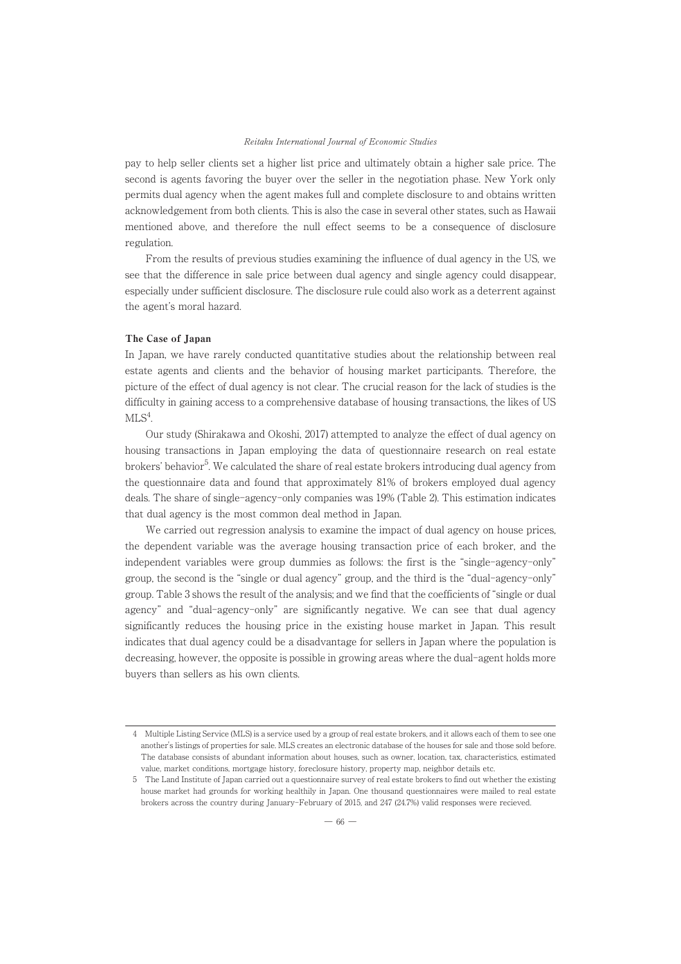## Reitaku International Journal of Economic Studies

pay to help seller clients set a higher list price and ultimately obtain a higher sale price. The second is agents favoring the buyer over the seller in the negotiation phase. New York only permits dual agency when the agent makes full and complete disclosure to and obtains written acknowledgement from both clients. This is also the case in several other states, such as Hawaii mentioned above, and therefore the null effect seems to be a consequence of disclosure regulation.

From the results of previous studies examining the influence of dual agency in the US, we see that the difference in sale price between dual agency and single agency could disappear, especially under sufficient disclosure. The disclosure rule could also work as a deterrent against the agent's moral hazard.

#### The Case of Japan

In Japan, we have rarely conducted quantitative studies about the relationship between real estate agents and clients and the behavior of housing market participants. Therefore, the picture of the effect of dual agency is not clear. The crucial reason for the lack of studies is the difficulty in gaining access to a comprehensive database of housing transactions, the likes of US  $MLS<sup>4</sup>$ . .

Our study (Shirakawa and Okoshi, 2017) attempted to analyze the effect of dual agency on housing transactions in Japan employing the data of questionnaire research on real estate brokers' behavior<sup>5</sup>. We calculated the share of real estate brokers introducing dual agency from the questionnaire data and found that approximately 81% of brokers employed dual agency deals. The share of single-agency-only companies was 19% (Table 2). This estimation indicates that dual agency is the most common deal method in Japan.

We carried out regression analysis to examine the impact of dual agency on house prices, the dependent variable was the average housing transaction price of each broker, and the independent variables were group dummies as follows: the first is the "single-agency-only" group, the second is the "single or dual agency" group, and the third is the "dual-agency-only" group. Table 3 shows the result of the analysis; and we find that the coefficients of "single or dual agency" and "dual-agency-only" are significantly negative. We can see that dual agency significantly reduces the housing price in the existing house market in Japan. This result indicates that dual agency could be a disadvantage for sellers in Japan where the population is decreasing, however, the opposite is possible in growing areas where the dual-agent holds more buyers than sellers as his own clients.

<sup>4</sup> Multiple Listing Service (MLS) is a service used by a group of real estate brokers, and it allows each of them to see one another's listings of properties for sale. MLS creates an electronic database of the houses for sale and those sold before. The database consists of abundant information about houses, such as owner, location, tax, characteristics, estimated value, market conditions, mortgage history, foreclosure history, property map, neighbor details etc.

<sup>5</sup> The Land Institute of Japan carried out a questionnaire survey of real estate brokers to find out whether the existing house market had grounds for working healthily in Japan. One thousand questionnaires were mailed to real estate brokers across the country during January-February of 2015, and 247 (24.7%) valid responses were recieved.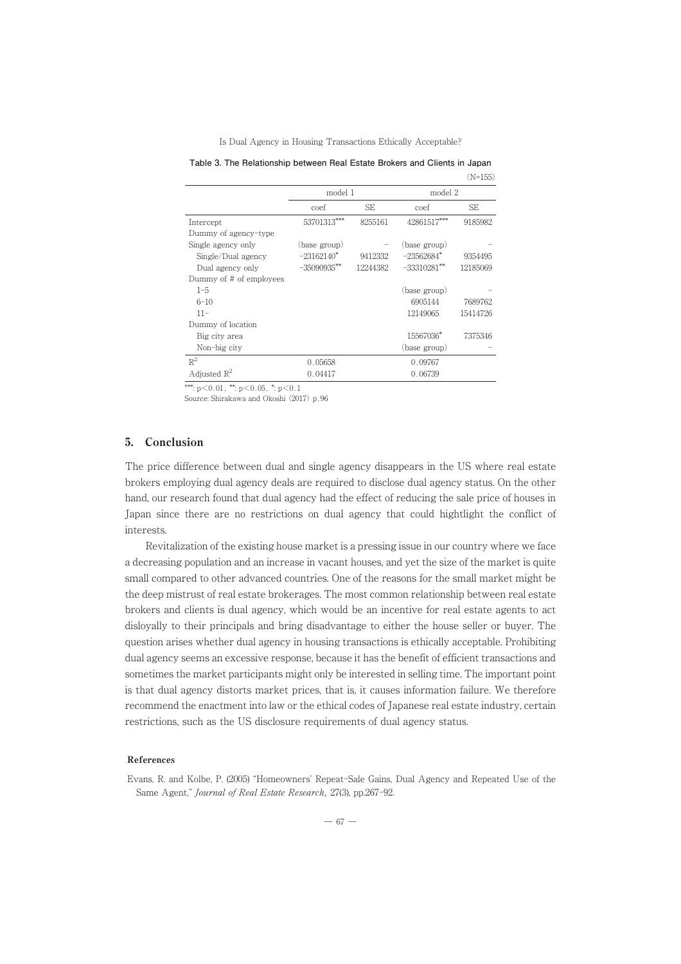Is Dual Agency in Housing Transactions Ethically Acceptable?

**Table 3. The Relationship between Real Estate Brokers and Clients in Japan**  $(x, 1, 1, 1)$ 

|                         |                |           |               | $(CCL=VI)$ |  |
|-------------------------|----------------|-----------|---------------|------------|--|
|                         | model 1        |           | model 2       |            |  |
|                         | coef           | <b>SE</b> | coef          | <b>SE</b>  |  |
| Intercept               | 53701313***    | 8255161   | 42861517***   | 9185982    |  |
| Dummy of agency-type    |                |           |               |            |  |
| Single agency only      | (base group)   |           | (base group)  |            |  |
| Single/Dual agency      | $-23162140*$   | 9412332   | $-23562684*$  | 9354495    |  |
| Dual agency only        | $-35090935***$ | 12244382  | $-33310281**$ | 12185069   |  |
| Dummy of # of employees |                |           |               |            |  |
| $1 - 5$                 |                |           | (base group)  |            |  |
| $6 - 10$                |                |           | 6905144       | 7689762    |  |
| $11 -$                  |                |           | 12149065      | 15414726   |  |
| Dummy of location       |                |           |               |            |  |
| Big city area           |                |           | 15567036*     | 7375346    |  |
| Non-big city            |                |           | (base group)  |            |  |
| $R^2$                   | 0.05658        |           | 0.09767       |            |  |
| Adjusted $R^2$          | 0.04417        |           | 0.06739       |            |  |

\*\*\*:  $p < 0.01$ , \*\*:  $p < 0.05$ , \*:  $p < 0.1$ 

Source: Shirakawa and Okoshi (2017) p.96

## 5. Conclusion

The price difference between dual and single agency disappears in the US where real estate brokers employing dual agency deals are required to disclose dual agency status. On the other hand, our research found that dual agency had the effect of reducing the sale price of houses in Japan since there are no restrictions on dual agency that could hightlight the conflict of interests.

Revitalization of the existing house market is a pressing issue in our country where we face a decreasing population and an increase in vacant houses, and yet the size of the market is quite small compared to other advanced countries. One of the reasons for the small market might be the deep mistrust of real estate brokerages. The most common relationship between real estate brokers and clients is dual agency, which would be an incentive for real estate agents to act disloyally to their principals and bring disadvantage to either the house seller or buyer. The question arises whether dual agency in housing transactions is ethically acceptable. Prohibiting dual agency seems an excessive response, because it has the benefit of efficient transactions and sometimes the market participants might only be interested in selling time. The important point is that dual agency distorts market prices, that is, it causes information failure. We therefore recommend the enactment into law or the ethical codes of Japanese real estate industry, certain restrictions, such as the US disclosure requirements of dual agency status.

## References

Evans, R. and Kolbe, P. (2005) "Homeowners' Repeat-Sale Gains, Dual Agency and Repeated Use of the Same Agent," Journal of Real Estate Research, 27(3), pp.267-92.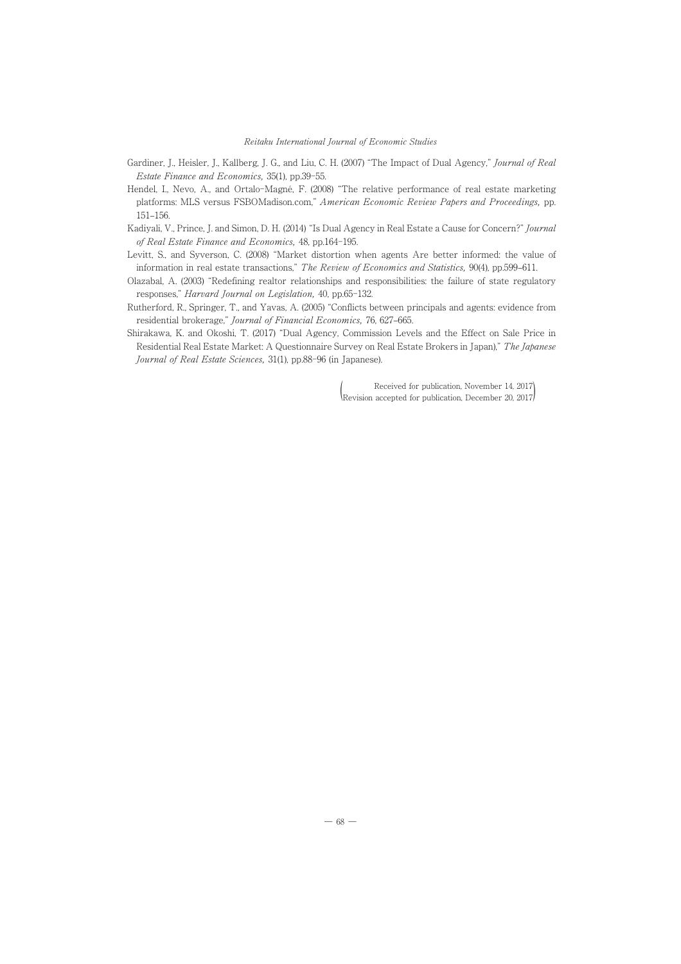- Gardiner, J., Heisler, J., Kallberg, J. G., and Liu, C. H. (2007) "The Impact of Dual Agency," Journal of Real Estate Finance and Economics, 35(1), pp.39-55.
- Hendel, I., Nevo, A., and Ortalo-Magné, F. (2008) "The relative performance of real estate marketing platforms: MLS versus FSBOMadison.com," American Economic Review Papers and Proceedings, pp. 151‒156.
- Kadiyali, V., Prince, J. and Simon, D. H. (2014) "Is Dual Agency in Real Estate a Cause for Concern?" Journal of Real Estate Finance and Economics, 48, pp.164-195.
- Levitt, S., and Syverson, C. (2008) "Market distortion when agents Are better informed: the value of information in real estate transactions," The Review of Economics and Statistics, 90(4), pp.599-611.
- Olazabal, A. (2003) "Redefining realtor relationships and responsibilities: the failure of state regulatory responses," Harvard Journal on Legislation, 40, pp.65-132.
- Rutherford, R., Springer, T., and Yavas, A. (2005) "Conflicts between principals and agents: evidence from residential brokerage," Journal of Financial Economics, 76, 627-665.
- Shirakawa, K. and Okoshi, T. (2017) "Dual Agency, Commission Levels and the Effect on Sale Price in Residential Real Estate Market: A Questionnaire Survey on Real Estate Brokers in Japan)," The Japanese Journal of Real Estate Sciences, 31(1), pp.88-96 (in Japanese).

( Received for publication, November 14, 2017 Revision accepted for publication, December 20, 2017)